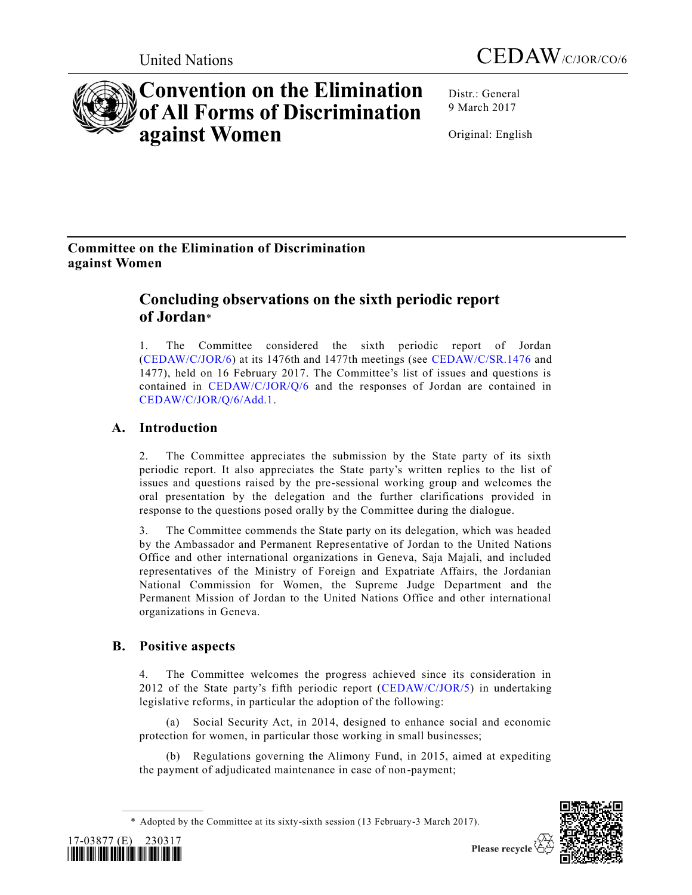



# **Convention on the Elimination of All Forms of Discrimination against Women**

Distr.: General 9 March 2017

Original: English

# **Committee on the Elimination of Discrimination against Women**

# **Concluding observations on the sixth periodic report of Jordan**\*

1. The Committee considered the sixth periodic report of Jordan [\(CEDAW/C/JOR/6\)](http://undocs.org/CEDAW/C/JOR/6) at its 1476th and 1477th meetings (see [CEDAW/C/SR.1476](http://undocs.org/CEDAW/C/SR.1476) and 1477), held on 16 February 2017. The Committee's list of issues and questions is contained in [CEDAW/C/JOR/Q/6](http://undocs.org/CEDAW/C/JOR/Q/6) and the responses of Jordan are contained in [CEDAW/C/JOR/Q/6/Add.1.](http://undocs.org/CEDAW/C/JOR/Q/6/Add.1)

# **A. Introduction**

2. The Committee appreciates the submission by the State party of its sixth periodic report. It also appreciates the State party's written replies to the list of issues and questions raised by the pre-sessional working group and welcomes the oral presentation by the delegation and the further clarifications provided in response to the questions posed orally by the Committee during the dialogue.

3. The Committee commends the State party on its delegation, which was headed by the Ambassador and Permanent Representative of Jordan to the United Nations Office and other international organizations in Geneva, Saja Majali, and included representatives of the Ministry of Foreign and Expatriate Affairs, the Jordanian National Commission for Women, the Supreme Judge Department and the Permanent Mission of Jordan to the United Nations Office and other international organizations in Geneva.

# **B. Positive aspects**

4. The Committee welcomes the progress achieved since its consideration in 2012 of the State party's fifth periodic report [\(CEDAW/C/JOR/5\)](http://undocs.org/CEDAW/C/JOR/5) in undertaking legislative reforms, in particular the adoption of the following:

(a) Social Security Act, in 2014, designed to enhance social and economic protection for women, in particular those working in small businesses;

(b) Regulations governing the Alimony Fund, in 2015, aimed at expediting the payment of adjudicated maintenance in case of non-payment;

<sup>\*</sup> Adopted by the Committee at its sixty-sixth session (13 February-3 March 2017).





Please recycle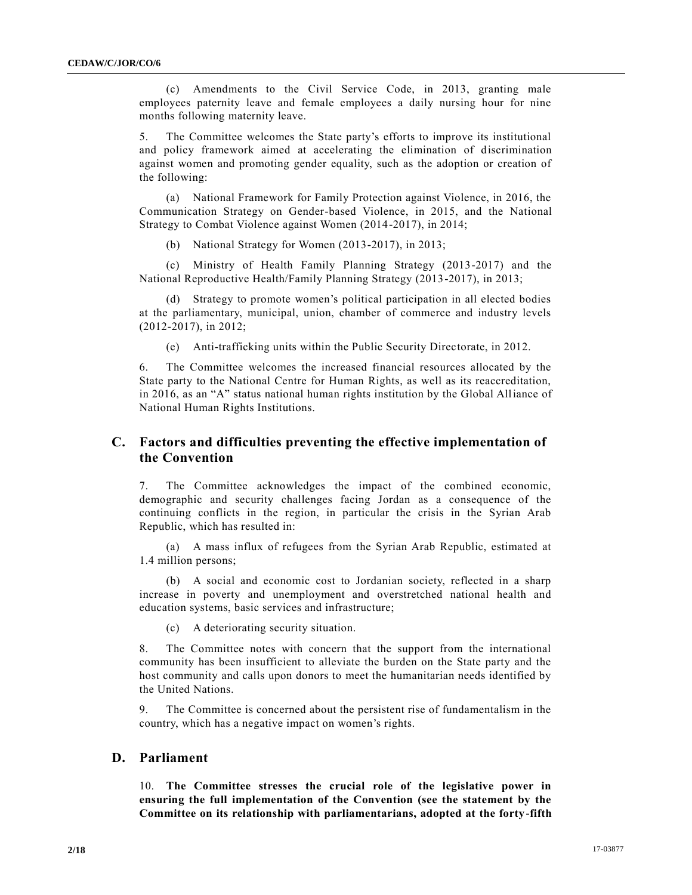(c) Amendments to the Civil Service Code, in 2013, granting male employees paternity leave and female employees a daily nursing hour for nine months following maternity leave.

5. The Committee welcomes the State party's efforts to improve its institutional and policy framework aimed at accelerating the elimination of discrimination against women and promoting gender equality, such as the adoption or creation of the following:

(a) National Framework for Family Protection against Violence, in 2016, the Communication Strategy on Gender-based Violence, in 2015, and the National Strategy to Combat Violence against Women (2014-2017), in 2014;

(b) National Strategy for Women (2013-2017), in 2013;

(c) Ministry of Health Family Planning Strategy (2013-2017) and the National Reproductive Health/Family Planning Strategy (2013-2017), in 2013;

(d) Strategy to promote women's political participation in all elected bodies at the parliamentary, municipal, union, chamber of commerce and industry levels (2012-2017), in 2012;

(e) Anti-trafficking units within the Public Security Directorate, in 2012.

6. The Committee welcomes the increased financial resources allocated by the State party to the National Centre for Human Rights, as well as its reaccreditation, in 2016, as an "A" status national human rights institution by the Global Alliance of National Human Rights Institutions.

# **C. Factors and difficulties preventing the effective implementation of the Convention**

7. The Committee acknowledges the impact of the combined economic, demographic and security challenges facing Jordan as a consequence of the continuing conflicts in the region, in particular the crisis in the Syrian Arab Republic, which has resulted in:

(a) A mass influx of refugees from the Syrian Arab Republic, estimated at 1.4 million persons;

(b) A social and economic cost to Jordanian society, reflected in a sharp increase in poverty and unemployment and overstretched national health and education systems, basic services and infrastructure;

(c) A deteriorating security situation.

8. The Committee notes with concern that the support from the international community has been insufficient to alleviate the burden on the State party and the host community and calls upon donors to meet the humanitarian needs identified by the United Nations.

9. The Committee is concerned about the persistent rise of fundamentalism in the country, which has a negative impact on women's rights.

# **D. Parliament**

10. **The Committee stresses the crucial role of the legislative power in ensuring the full implementation of the Convention (see the statement by the Committee on its relationship with parliamentarians, adopted at the forty-fifth**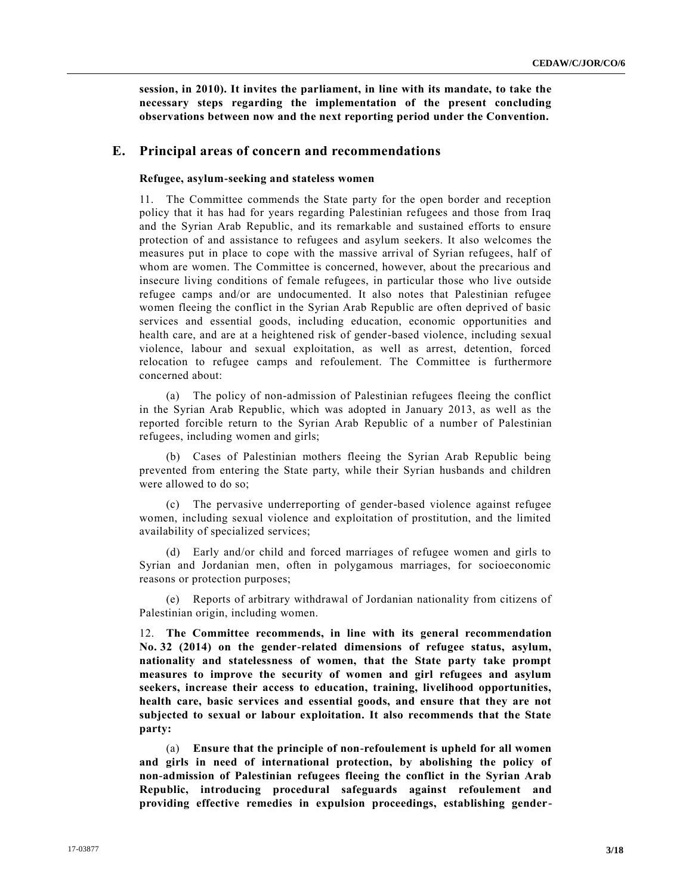**session, in 2010). It invites the parliament, in line with its mandate, to take the necessary steps regarding the implementation of the present concluding observations between now and the next reporting period under the Convention.** 

# **E. Principal areas of concern and recommendations**

#### **Refugee, asylum-seeking and stateless women**

11. The Committee commends the State party for the open border and reception policy that it has had for years regarding Palestinian refugees and those from Iraq and the Syrian Arab Republic, and its remarkable and sustained efforts to ensure protection of and assistance to refugees and asylum seekers. It also welcomes the measures put in place to cope with the massive arrival of Syrian refugees, half of whom are women. The Committee is concerned, however, about the precarious and insecure living conditions of female refugees, in particular those who live outside refugee camps and/or are undocumented. It also notes that Palestinian refugee women fleeing the conflict in the Syrian Arab Republic are often deprived of basic services and essential goods, including education, economic opportunities and health care, and are at a heightened risk of gender-based violence, including sexual violence, labour and sexual exploitation, as well as arrest, detention, forced relocation to refugee camps and refoulement. The Committee is furthermore concerned about:

(a) The policy of non-admission of Palestinian refugees fleeing the conflict in the Syrian Arab Republic, which was adopted in January 2013, as well as the reported forcible return to the Syrian Arab Republic of a number of Palestinian refugees, including women and girls;

(b) Cases of Palestinian mothers fleeing the Syrian Arab Republic being prevented from entering the State party, while their Syrian husbands and children were allowed to do so;

(c) The pervasive underreporting of gender-based violence against refugee women, including sexual violence and exploitation of prostitution, and the limited availability of specialized services;

(d) Early and/or child and forced marriages of refugee women and girls to Syrian and Jordanian men, often in polygamous marriages, for socioeconomic reasons or protection purposes;

Reports of arbitrary withdrawal of Jordanian nationality from citizens of Palestinian origin, including women.

12. **The Committee recommends, in line with its general recommendation No. 32 (2014) on the gender-related dimensions of refugee status, asylum, nationality and statelessness of women, that the State party take prompt measures to improve the security of women and girl refugees and asylum seekers, increase their access to education, training, livelihood opportunities, health care, basic services and essential goods, and ensure that they are not subjected to sexual or labour exploitation. It also recommends that the State party:** 

(a) **Ensure that the principle of non-refoulement is upheld for all women and girls in need of international protection, by abolishing the policy of non-admission of Palestinian refugees fleeing the conflict in the Syrian Arab Republic, introducing procedural safeguards against refoulement and providing effective remedies in expulsion proceedings, establishing gender-**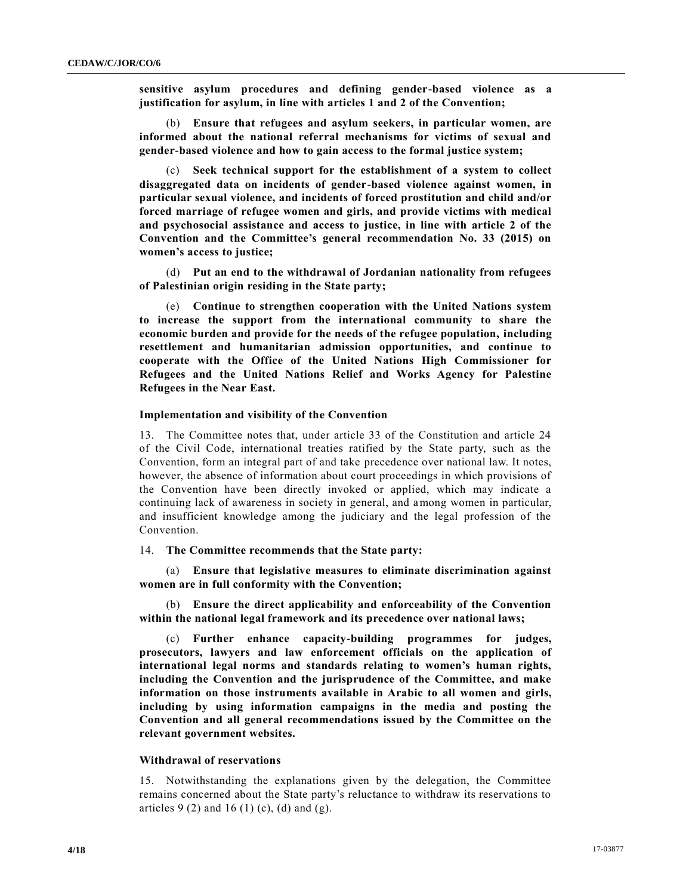**sensitive asylum procedures and defining gender-based violence as a justification for asylum, in line with articles 1 and 2 of the Convention;** 

(b) **Ensure that refugees and asylum seekers, in particular women, are informed about the national referral mechanisms for victims of sexual and gender-based violence and how to gain access to the formal justice system;** 

(c) **Seek technical support for the establishment of a system to collect disaggregated data on incidents of gender-based violence against women, in particular sexual violence, and incidents of forced prostitution and child and/or forced marriage of refugee women and girls, and provide victims with medical and psychosocial assistance and access to justice, in line with article 2 of the Convention and the Committee's general recommendation No. 33 (2015) on women's access to justice;** 

(d) **Put an end to the withdrawal of Jordanian nationality from refugees of Palestinian origin residing in the State party;** 

(e) **Continue to strengthen cooperation with the United Nations system to increase the support from the international community to share the economic burden and provide for the needs of the refugee population, including resettlement and humanitarian admission opportunities, and continue to cooperate with the Office of the United Nations High Commissioner for Refugees and the United Nations Relief and Works Agency for Palestine Refugees in the Near East.** 

#### **Implementation and visibility of the Convention**

13. The Committee notes that, under article 33 of the Constitution and article 24 of the Civil Code, international treaties ratified by the State party, such as the Convention, form an integral part of and take precedence over national law. It notes, however, the absence of information about court proceedings in which provisions of the Convention have been directly invoked or applied, which may indicate a continuing lack of awareness in society in general, and among women in particular, and insufficient knowledge among the judiciary and the legal profession of the Convention.

#### 14. **The Committee recommends that the State party:**

(a) **Ensure that legislative measures to eliminate discrimination against women are in full conformity with the Convention;** 

(b) **Ensure the direct applicability and enforceability of the Convention within the national legal framework and its precedence over national laws;** 

(c) **Further enhance capacity-building programmes for judges, prosecutors, lawyers and law enforcement officials on the application of international legal norms and standards relating to women's human rights, including the Convention and the jurisprudence of the Committee, and make information on those instruments available in Arabic to all women and girls, including by using information campaigns in the media and posting the Convention and all general recommendations issued by the Committee on the relevant government websites.** 

#### **Withdrawal of reservations**

15. Notwithstanding the explanations given by the delegation, the Committee remains concerned about the State party's reluctance to withdraw its reservations to articles 9 (2) and 16 (1) (c), (d) and (g).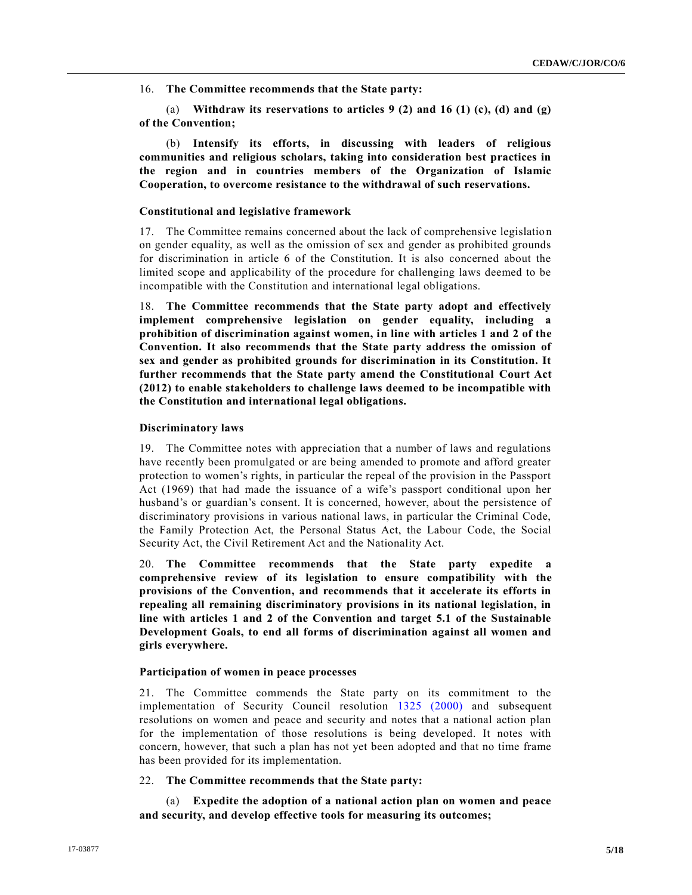16. **The Committee recommends that the State party:** 

(a) **Withdraw its reservations to articles 9 (2) and 16 (1) (c), (d) and (g) of the Convention;** 

(b) **Intensify its efforts, in discussing with leaders of religious communities and religious scholars, taking into consideration best practices in the region and in countries members of the Organization of Islamic Cooperation, to overcome resistance to the withdrawal of such reservations.** 

# **Constitutional and legislative framework**

17. The Committee remains concerned about the lack of comprehensive legislatio n on gender equality, as well as the omission of sex and gender as prohibited grounds for discrimination in article 6 of the Constitution. It is also concerned about the limited scope and applicability of the procedure for challenging laws deemed to be incompatible with the Constitution and international legal obligations.

18. **The Committee recommends that the State party adopt and effectively implement comprehensive legislation on gender equality, including a prohibition of discrimination against women, in line with articles 1 and 2 of the Convention. It also recommends that the State party address the omission of sex and gender as prohibited grounds for discrimination in its Constitution. It further recommends that the State party amend the Constitutional Court Act (2012) to enable stakeholders to challenge laws deemed to be incompatible with the Constitution and international legal obligations.** 

# **Discriminatory laws**

19. The Committee notes with appreciation that a number of laws and regulations have recently been promulgated or are being amended to promote and afford greater protection to women's rights, in particular the repeal of the provision in the Passport Act (1969) that had made the issuance of a wife's passport conditional upon her husband's or guardian's consent. It is concerned, however, about the persistence of discriminatory provisions in various national laws, in particular the Criminal Code, the Family Protection Act, the Personal Status Act, the Labour Code, the Social Security Act, the Civil Retirement Act and the Nationality Act.

20. **The Committee recommends that the State party expedite a comprehensive review of its legislation to ensure compatibility with the provisions of the Convention, and recommends that it accelerate its efforts in repealing all remaining discriminatory provisions in its national legislation, in line with articles 1 and 2 of the Convention and target 5.1 of the Sustainable Development Goals, to end all forms of discrimination against all women and girls everywhere.** 

# **Participation of women in peace processes**

21. The Committee commends the State party on its commitment to the implementation of Security Council resolution [1325 \(2000\)](http://undocs.org/S/RES/1325(2000)) and subsequent resolutions on women and peace and security and notes that a national action plan for the implementation of those resolutions is being developed. It notes with concern, however, that such a plan has not yet been adopted and that no time frame has been provided for its implementation.

22. **The Committee recommends that the State party:** 

(a) **Expedite the adoption of a national action plan on women and peace and security, and develop effective tools for measuring its outcomes;**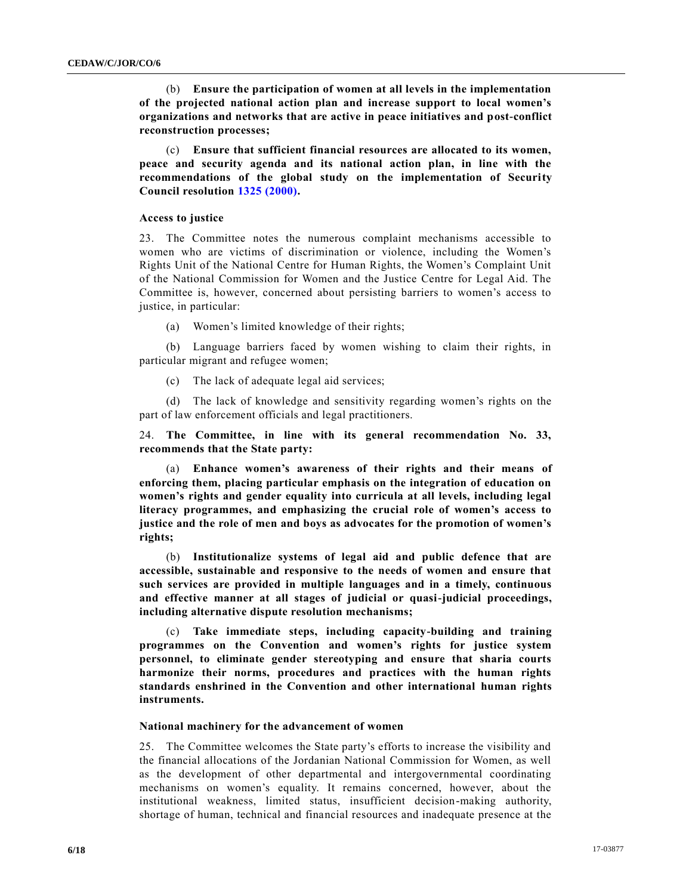(b) **Ensure the participation of women at all levels in the implementation of the projected national action plan and increase support to local women's organizations and networks that are active in peace initiatives and post-conflict reconstruction processes;** 

(c) **Ensure that sufficient financial resources are allocated to its women, peace and security agenda and its national action plan, in line with the recommendations of the global study on the implementation of Security Council resolution [1325 \(2000\).](http://undocs.org/S/RES/1325(2000))** 

#### **Access to justice**

23. The Committee notes the numerous complaint mechanisms accessible to women who are victims of discrimination or violence, including the Women's Rights Unit of the National Centre for Human Rights, the Women's Complaint Unit of the National Commission for Women and the Justice Centre for Legal Aid. The Committee is, however, concerned about persisting barriers to women's access to justice, in particular:

(a) Women's limited knowledge of their rights;

(b) Language barriers faced by women wishing to claim their rights, in particular migrant and refugee women;

(c) The lack of adequate legal aid services;

(d) The lack of knowledge and sensitivity regarding women's rights on the part of law enforcement officials and legal practitioners.

24. **The Committee, in line with its general recommendation No. 33, recommends that the State party:** 

(a) **Enhance women's awareness of their rights and their means of enforcing them, placing particular emphasis on the integration of education on women's rights and gender equality into curricula at all levels, including legal literacy programmes, and emphasizing the crucial role of women's access to justice and the role of men and boys as advocates for the promotion of women's rights;** 

(b) **Institutionalize systems of legal aid and public defence that are accessible, sustainable and responsive to the needs of women and ensure that such services are provided in multiple languages and in a timely, continuous and effective manner at all stages of judicial or quasi-judicial proceedings, including alternative dispute resolution mechanisms;** 

(c) **Take immediate steps, including capacity-building and training programmes on the Convention and women's rights for justice system personnel, to eliminate gender stereotyping and ensure that sharia courts harmonize their norms, procedures and practices with the human rights standards enshrined in the Convention and other international human rights instruments.** 

#### **National machinery for the advancement of women**

25. The Committee welcomes the State party's efforts to increase the visibility and the financial allocations of the Jordanian National Commission for Women, as well as the development of other departmental and intergovernmental coordinating mechanisms on women's equality. It remains concerned, however, about the institutional weakness, limited status, insufficient decision-making authority, shortage of human, technical and financial resources and inadequate presence at the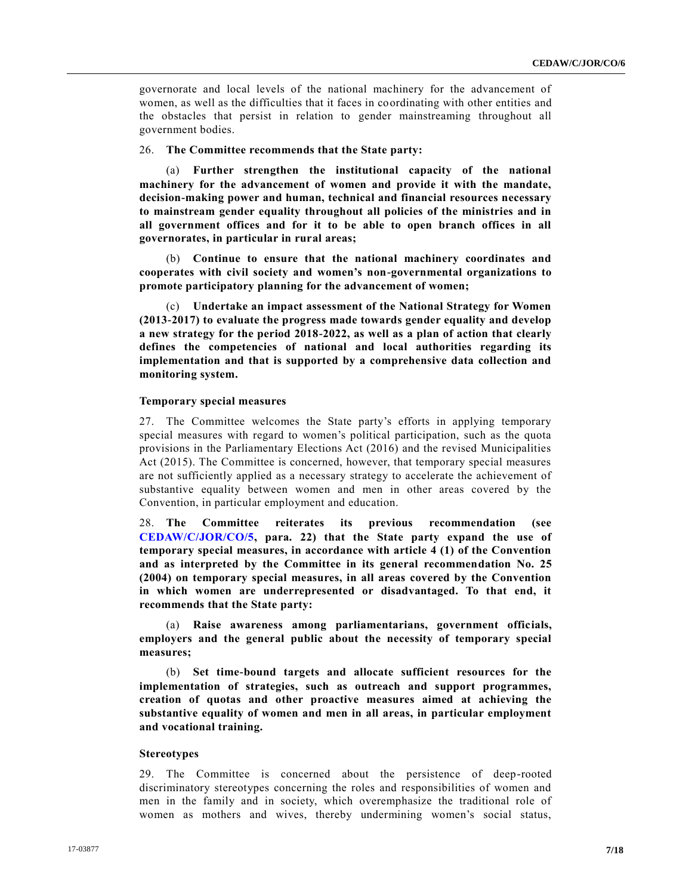governorate and local levels of the national machinery for the advancement of women, as well as the difficulties that it faces in coordinating with other entities and the obstacles that persist in relation to gender mainstreaming throughout all government bodies.

# 26. **The Committee recommends that the State party:**

(a) **Further strengthen the institutional capacity of the national machinery for the advancement of women and provide it with the mandate, decision-making power and human, technical and financial resources necessary to mainstream gender equality throughout all policies of the ministries and in all government offices and for it to be able to open branch offices in all governorates, in particular in rural areas;** 

(b) **Continue to ensure that the national machinery coordinates and cooperates with civil society and women's non-governmental organizations to promote participatory planning for the advancement of women;** 

(c) **Undertake an impact assessment of the National Strategy for Women (2013-2017) to evaluate the progress made towards gender equality and develop a new strategy for the period 2018-2022, as well as a plan of action that clearly defines the competencies of national and local authorities regarding its implementation and that is supported by a comprehensive data collection and monitoring system.** 

# **Temporary special measures**

27. The Committee welcomes the State party's efforts in applying temporary special measures with regard to women's political participation, such as the quota provisions in the Parliamentary Elections Act (2016) and the revised Municipalities Act (2015). The Committee is concerned, however, that temporary special measures are not sufficiently applied as a necessary strategy to accelerate the achievement of substantive equality between women and men in other areas covered by the Convention, in particular employment and education.

28. **The Committee reiterates its previous recommendation (see [CEDAW/C/JOR/CO/5,](http://undocs.org/CEDAW/C/JOR/CO/5) para. 22) that the State party expand the use of temporary special measures, in accordance with article 4 (1) of the Convention and as interpreted by the Committee in its general recommendation No. 25 (2004) on temporary special measures, in all areas covered by the Convention in which women are underrepresented or disadvantaged. To that end, it recommends that the State party:** 

(a) **Raise awareness among parliamentarians, government officials, employers and the general public about the necessity of temporary special measures;** 

(b) **Set time-bound targets and allocate sufficient resources for the implementation of strategies, such as outreach and support programmes, creation of quotas and other proactive measures aimed at achieving the substantive equality of women and men in all areas, in particular employment and vocational training.**

#### **Stereotypes**

29. The Committee is concerned about the persistence of deep-rooted discriminatory stereotypes concerning the roles and responsibilities of women and men in the family and in society, which overemphasize the traditional role of women as mothers and wives, thereby undermining women's social status,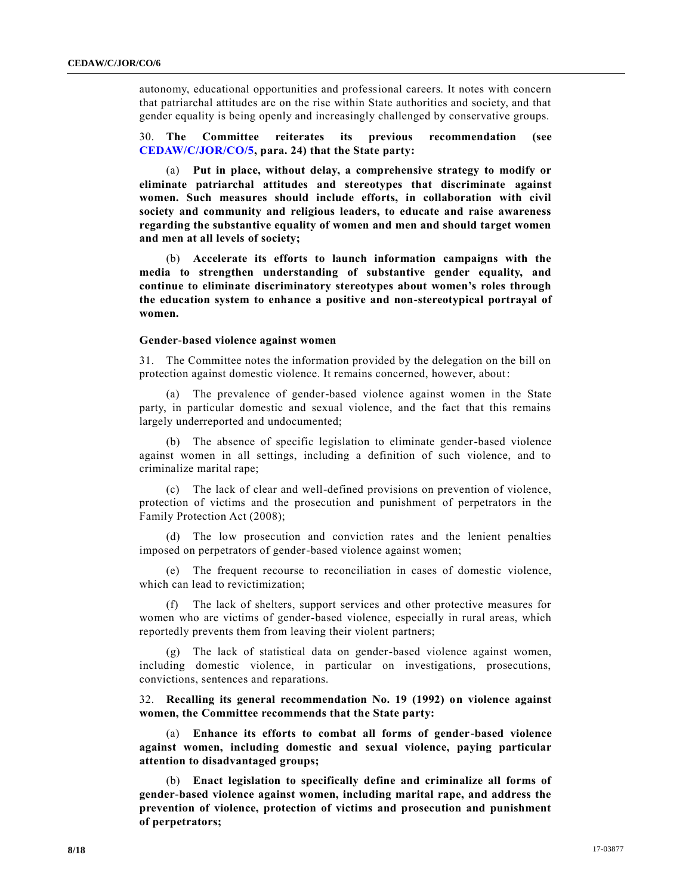autonomy, educational opportunities and professional careers. It notes with concern that patriarchal attitudes are on the rise within State authorities and society, and that gender equality is being openly and increasingly challenged by conservative groups.

30. **The Committee reiterates its previous recommendation (see [CEDAW/C/JOR/CO/5,](http://undocs.org/CEDAW/C/JOR/CO/5) para. 24) that the State party:** 

(a) **Put in place, without delay, a comprehensive strategy to modify or eliminate patriarchal attitudes and stereotypes that discriminate against women. Such measures should include efforts, in collaboration with civil society and community and religious leaders, to educate and raise awareness regarding the substantive equality of women and men and should target women and men at all levels of society;** 

(b) **Accelerate its efforts to launch information campaigns with the media to strengthen understanding of substantive gender equality, and continue to eliminate discriminatory stereotypes about women's roles through the education system to enhance a positive and non-stereotypical portrayal of women.** 

#### **Gender-based violence against women**

31. The Committee notes the information provided by the delegation on the bill on protection against domestic violence. It remains concerned, however, about:

(a) The prevalence of gender-based violence against women in the State party, in particular domestic and sexual violence, and the fact that this remains largely underreported and undocumented;

(b) The absence of specific legislation to eliminate gender-based violence against women in all settings, including a definition of such violence, and to criminalize marital rape;

(c) The lack of clear and well-defined provisions on prevention of violence, protection of victims and the prosecution and punishment of perpetrators in the Family Protection Act (2008);

(d) The low prosecution and conviction rates and the lenient penalties imposed on perpetrators of gender-based violence against women;

(e) The frequent recourse to reconciliation in cases of domestic violence, which can lead to revictimization;

The lack of shelters, support services and other protective measures for women who are victims of gender-based violence, especially in rural areas, which reportedly prevents them from leaving their violent partners;

(g) The lack of statistical data on gender-based violence against women, including domestic violence, in particular on investigations, prosecutions, convictions, sentences and reparations.

32. **Recalling its general recommendation No. 19 (1992) on violence against women, the Committee recommends that the State party:** 

(a) **Enhance its efforts to combat all forms of gender-based violence against women, including domestic and sexual violence, paying particular attention to disadvantaged groups;** 

(b) **Enact legislation to specifically define and criminalize all forms of gender-based violence against women, including marital rape, and address the prevention of violence, protection of victims and prosecution and punishment of perpetrators;**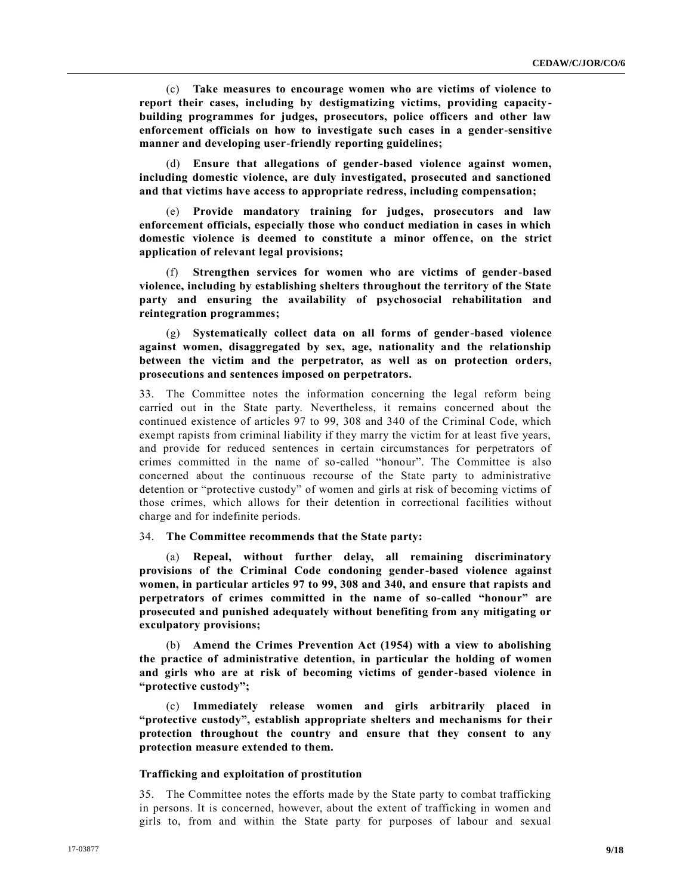(c) **Take measures to encourage women who are victims of violence to report their cases, including by destigmatizing victims, providing capacitybuilding programmes for judges, prosecutors, police officers and other law enforcement officials on how to investigate such cases in a gender-sensitive manner and developing user-friendly reporting guidelines;**

(d) **Ensure that allegations of gender-based violence against women, including domestic violence, are duly investigated, prosecuted and sanctioned and that victims have access to appropriate redress, including compensation;**

Provide mandatory training for judges, prosecutors and law **enforcement officials, especially those who conduct mediation in cases in which domestic violence is deemed to constitute a minor offence, on the strict application of relevant legal provisions;**

(f) **Strengthen services for women who are victims of gender-based violence, including by establishing shelters throughout the territory of the State party and ensuring the availability of psychosocial rehabilitation and reintegration programmes;** 

(g) **Systematically collect data on all forms of gender-based violence against women, disaggregated by sex, age, nationality and the relationship between the victim and the perpetrator, as well as on protection orders, prosecutions and sentences imposed on perpetrators.** 

33. The Committee notes the information concerning the legal reform being carried out in the State party. Nevertheless, it remains concerned about the continued existence of articles 97 to 99, 308 and 340 of the Criminal Code, which exempt rapists from criminal liability if they marry the victim for at least five years, and provide for reduced sentences in certain circumstances for perpetrators of crimes committed in the name of so-called "honour". The Committee is also concerned about the continuous recourse of the State party to administrative detention or "protective custody" of women and girls at risk of becoming victims of those crimes, which allows for their detention in correctional facilities without charge and for indefinite periods.

34. **The Committee recommends that the State party:** 

(a) **Repeal, without further delay, all remaining discriminatory provisions of the Criminal Code condoning gender-based violence against women, in particular articles 97 to 99, 308 and 340, and ensure that rapists and perpetrators of crimes committed in the name of so-called "honour" are prosecuted and punished adequately without benefiting from any mitigating or exculpatory provisions;** 

(b) **Amend the Crimes Prevention Act (1954) with a view to abolishing the practice of administrative detention, in particular the holding of women and girls who are at risk of becoming victims of gender-based violence in "protective custody";**

(c) **Immediately release women and girls arbitrarily placed in "protective custody", establish appropriate shelters and mechanisms for their protection throughout the country and ensure that they consent to any protection measure extended to them.**

#### **Trafficking and exploitation of prostitution**

35. The Committee notes the efforts made by the State party to combat trafficking in persons. It is concerned, however, about the extent of trafficking in women and girls to, from and within the State party for purposes of labour and sexual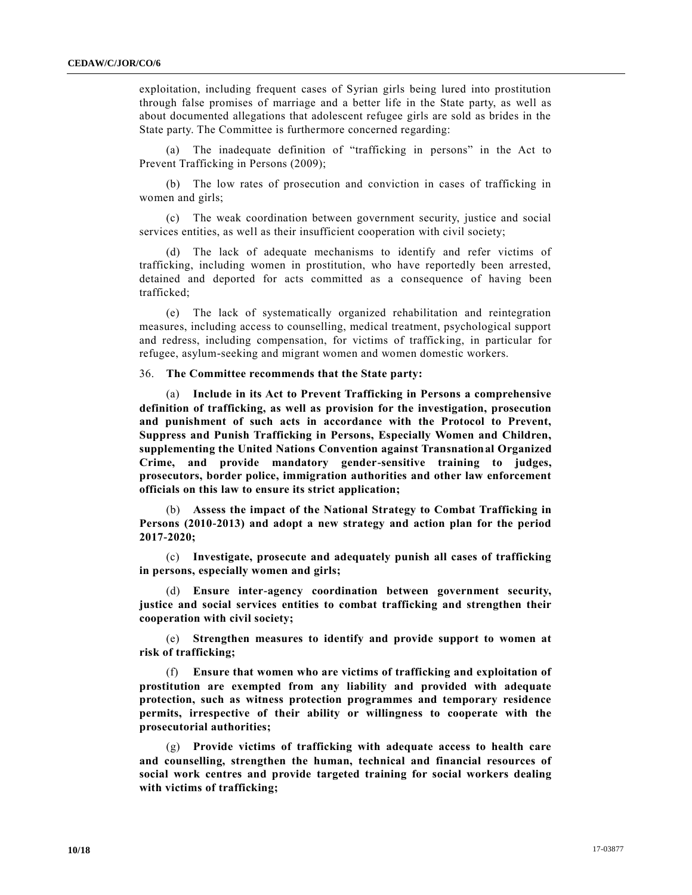exploitation, including frequent cases of Syrian girls being lured into prostitution through false promises of marriage and a better life in the State party, as well as about documented allegations that adolescent refugee girls are sold as brides in the State party. The Committee is furthermore concerned regarding:

(a) The inadequate definition of "trafficking in persons" in the Act to Prevent Trafficking in Persons (2009);

(b) The low rates of prosecution and conviction in cases of trafficking in women and girls;

(c) The weak coordination between government security, justice and social services entities, as well as their insufficient cooperation with civil society;

(d) The lack of adequate mechanisms to identify and refer victims of trafficking, including women in prostitution, who have reportedly been arrested, detained and deported for acts committed as a consequence of having been trafficked;

(e) The lack of systematically organized rehabilitation and reintegration measures, including access to counselling, medical treatment, psychological support and redress, including compensation, for victims of trafficking, in particular for refugee, asylum-seeking and migrant women and women domestic workers.

36. **The Committee recommends that the State party:** 

(a) **Include in its Act to Prevent Trafficking in Persons a comprehensive definition of trafficking, as well as provision for the investigation, prosecution and punishment of such acts in accordance with the Protocol to Prevent, Suppress and Punish Trafficking in Persons, Especially Women and Children, supplementing the United Nations Convention against Transnational Organized Crime, and provide mandatory gender-sensitive training to judges, prosecutors, border police, immigration authorities and other law enforcement officials on this law to ensure its strict application;**

(b) **Assess the impact of the National Strategy to Combat Trafficking in Persons (2010-2013) and adopt a new strategy and action plan for the period 2017-2020;** 

(c) **Investigate, prosecute and adequately punish all cases of trafficking in persons, especially women and girls;**

(d) **Ensure inter-agency coordination between government security, justice and social services entities to combat trafficking and strengthen their cooperation with civil society;** 

(e) **Strengthen measures to identify and provide support to women at risk of trafficking;**

(f) **Ensure that women who are victims of trafficking and exploitation of prostitution are exempted from any liability and provided with adequate protection, such as witness protection programmes and temporary residence permits, irrespective of their ability or willingness to cooperate with the prosecutorial authorities;**

(g) **Provide victims of trafficking with adequate access to health care and counselling, strengthen the human, technical and financial resources of social work centres and provide targeted training for social workers dealing with victims of trafficking;**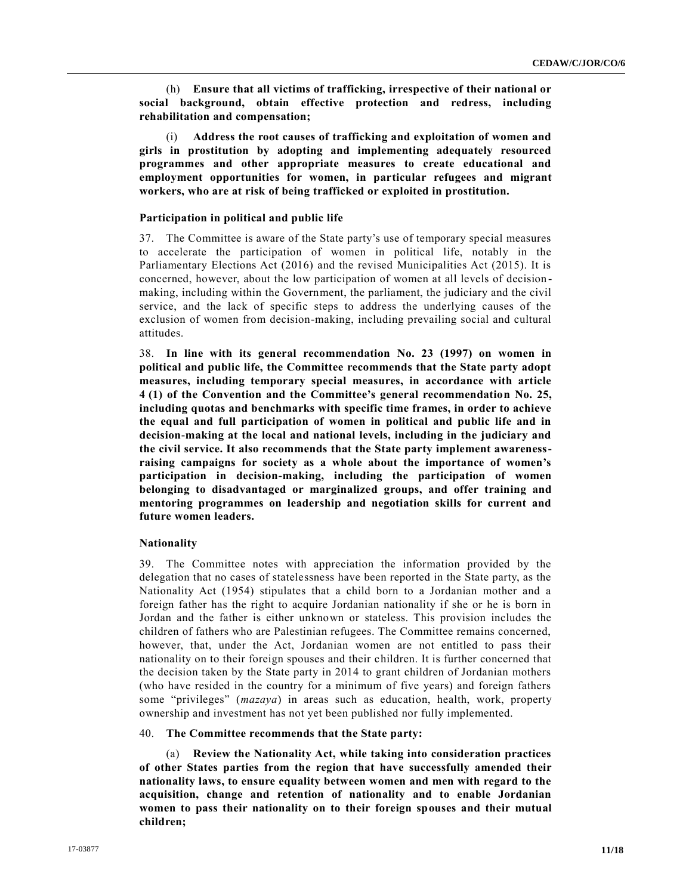(h) **Ensure that all victims of trafficking, irrespective of their national or social background, obtain effective protection and redress, including rehabilitation and compensation;**

(i) **Address the root causes of trafficking and exploitation of women and girls in prostitution by adopting and implementing adequately resourced programmes and other appropriate measures to create educational and employment opportunities for women, in particular refugees and migrant workers, who are at risk of being trafficked or exploited in prostitution.**

# **Participation in political and public life**

37. The Committee is aware of the State party's use of temporary special measures to accelerate the participation of women in political life, notably in the Parliamentary Elections Act (2016) and the revised Municipalities Act (2015). It is concerned, however, about the low participation of women at all levels of decision making, including within the Government, the parliament, the judiciary and the civil service, and the lack of specific steps to address the underlying causes of the exclusion of women from decision-making, including prevailing social and cultural attitudes.

38. **In line with its general recommendation No. 23 (1997) on women in political and public life, the Committee recommends that the State party adopt measures, including temporary special measures, in accordance with article 4 (1) of the Convention and the Committee's general recommendation No. 25, including quotas and benchmarks with specific time frames, in order to achieve the equal and full participation of women in political and public life and in decision-making at the local and national levels, including in the judiciary and the civil service. It also recommends that the State party implement awarenessraising campaigns for society as a whole about the importance of women's participation in decision-making, including the participation of women belonging to disadvantaged or marginalized groups, and offer training and mentoring programmes on leadership and negotiation skills for current and future women leaders.** 

# **Nationality**

39. The Committee notes with appreciation the information provided by the delegation that no cases of statelessness have been reported in the State party, as the Nationality Act (1954) stipulates that a child born to a Jordanian mother and a foreign father has the right to acquire Jordanian nationality if she or he is born in Jordan and the father is either unknown or stateless. This provision includes the children of fathers who are Palestinian refugees. The Committee remains concerned, however, that, under the Act, Jordanian women are not entitled to pass their nationality on to their foreign spouses and their children. It is further concerned that the decision taken by the State party in 2014 to grant children of Jordanian mothers (who have resided in the country for a minimum of five years) and foreign fathers some "privileges" (*mazaya*) in areas such as education, health, work, property ownership and investment has not yet been published nor fully implemented.

# 40. **The Committee recommends that the State party:**

(a) **Review the Nationality Act, while taking into consideration practices of other States parties from the region that have successfully amended their nationality laws, to ensure equality between women and men with regard to the acquisition, change and retention of nationality and to enable Jordanian women to pass their nationality on to their foreign spouses and their mutual children;**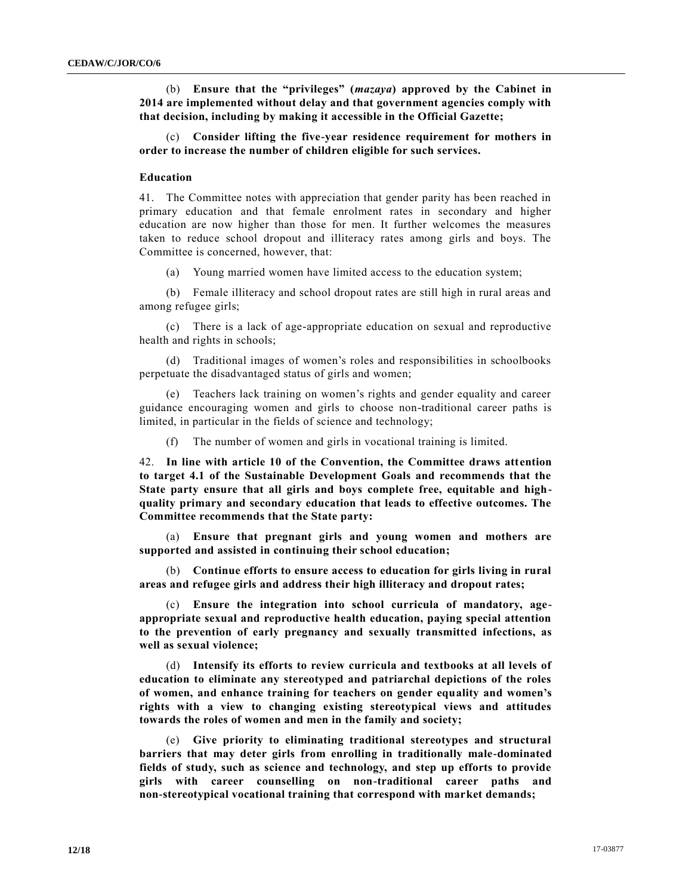(b) **Ensure that the "privileges" (***mazaya***) approved by the Cabinet in 2014 are implemented without delay and that government agencies comply with that decision, including by making it accessible in the Official Gazette;** 

(c) **Consider lifting the five-year residence requirement for mothers in order to increase the number of children eligible for such services.** 

#### **Education**

41. The Committee notes with appreciation that gender parity has been reached in primary education and that female enrolment rates in secondary and higher education are now higher than those for men. It further welcomes the measures taken to reduce school dropout and illiteracy rates among girls and boys. The Committee is concerned, however, that:

(a) Young married women have limited access to the education system;

(b) Female illiteracy and school dropout rates are still high in rural areas and among refugee girls;

(c) There is a lack of age-appropriate education on sexual and reproductive health and rights in schools;

(d) Traditional images of women's roles and responsibilities in schoolbooks perpetuate the disadvantaged status of girls and women;

(e) Teachers lack training on women's rights and gender equality and career guidance encouraging women and girls to choose non-traditional career paths is limited, in particular in the fields of science and technology;

(f) The number of women and girls in vocational training is limited.

42. **In line with article 10 of the Convention, the Committee draws attention to target 4.1 of the Sustainable Development Goals and recommends that the State party ensure that all girls and boys complete free, equitable and highquality primary and secondary education that leads to effective outcomes. The Committee recommends that the State party:** 

(a) **Ensure that pregnant girls and young women and mothers are supported and assisted in continuing their school education;**

(b) **Continue efforts to ensure access to education for girls living in rural areas and refugee girls and address their high illiteracy and dropout rates;**

(c) **Ensure the integration into school curricula of mandatory, ageappropriate sexual and reproductive health education, paying special attention to the prevention of early pregnancy and sexually transmitted infections, as well as sexual violence;**

(d) **Intensify its efforts to review curricula and textbooks at all levels of education to eliminate any stereotyped and patriarchal depictions of the roles of women, and enhance training for teachers on gender equality and women's rights with a view to changing existing stereotypical views and attitudes towards the roles of women and men in the family and society;**

(e) **Give priority to eliminating traditional stereotypes and structural barriers that may deter girls from enrolling in traditionally male-dominated fields of study, such as science and technology, and step up efforts to provide girls with career counselling on non-traditional career paths and non-stereotypical vocational training that correspond with market demands;**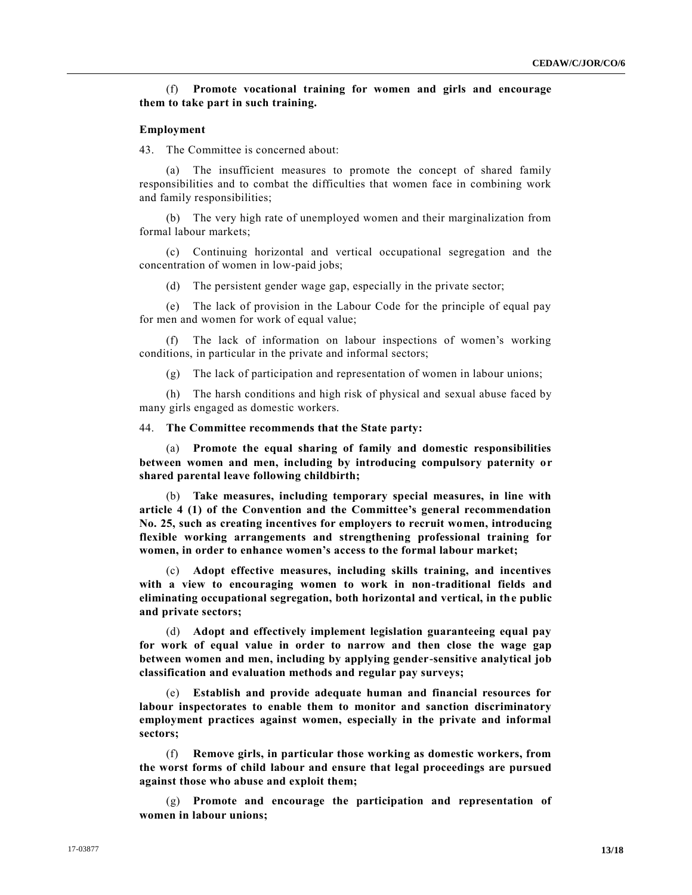# (f) **Promote vocational training for women and girls and encourage them to take part in such training.**

#### **Employment**

43. The Committee is concerned about:

(a) The insufficient measures to promote the concept of shared family responsibilities and to combat the difficulties that women face in combining work and family responsibilities;

(b) The very high rate of unemployed women and their marginalization from formal labour markets;

(c) Continuing horizontal and vertical occupational segregation and the concentration of women in low-paid jobs;

(d) The persistent gender wage gap, especially in the private sector;

(e) The lack of provision in the Labour Code for the principle of equal pay for men and women for work of equal value;

(f) The lack of information on labour inspections of women's working conditions, in particular in the private and informal sectors;

(g) The lack of participation and representation of women in labour unions;

(h) The harsh conditions and high risk of physical and sexual abuse faced by many girls engaged as domestic workers.

44. **The Committee recommends that the State party:** 

(a) **Promote the equal sharing of family and domestic responsibilities between women and men, including by introducing compulsory paternity or shared parental leave following childbirth;** 

(b) **Take measures, including temporary special measures, in line with article 4 (1) of the Convention and the Committee's general recommendation No. 25, such as creating incentives for employers to recruit women, introducing flexible working arrangements and strengthening professional training for women, in order to enhance women's access to the formal labour market;** 

(c) **Adopt effective measures, including skills training, and incentives with a view to encouraging women to work in non-traditional fields and eliminating occupational segregation, both horizontal and vertical, in the public and private sectors;**

(d) **Adopt and effectively implement legislation guaranteeing equal pay for work of equal value in order to narrow and then close the wage gap between women and men, including by applying gender-sensitive analytical job classification and evaluation methods and regular pay surveys;** 

(e) **Establish and provide adequate human and financial resources for labour inspectorates to enable them to monitor and sanction discriminatory employment practices against women, especially in the private and informal sectors;** 

(f) **Remove girls, in particular those working as domestic workers, from the worst forms of child labour and ensure that legal proceedings are pursued against those who abuse and exploit them;**

(g) **Promote and encourage the participation and representation of women in labour unions;**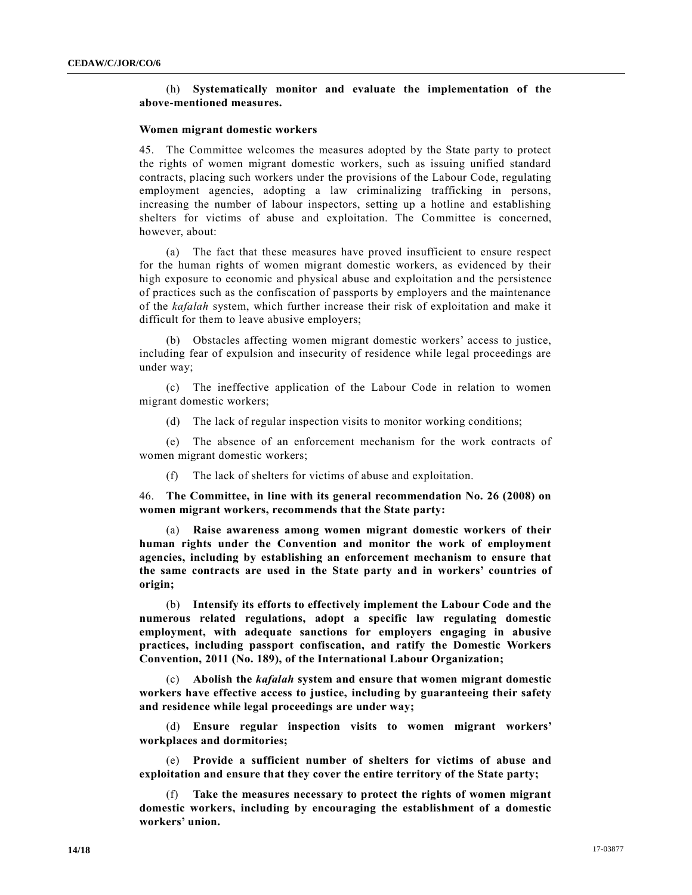# (h) **Systematically monitor and evaluate the implementation of the above-mentioned measures.**

# **Women migrant domestic workers**

45. The Committee welcomes the measures adopted by the State party to protect the rights of women migrant domestic workers, such as issuing unified standard contracts, placing such workers under the provisions of the Labour Code, regulating employment agencies, adopting a law criminalizing trafficking in persons, increasing the number of labour inspectors, setting up a hotline and establishing shelters for victims of abuse and exploitation. The Committee is concerned, however, about:

(a) The fact that these measures have proved insufficient to ensure respect for the human rights of women migrant domestic workers, as evidenced by their high exposure to economic and physical abuse and exploitation and the persistence of practices such as the confiscation of passports by employers and the maintenance of the *kafalah* system, which further increase their risk of exploitation and make it difficult for them to leave abusive employers;

(b) Obstacles affecting women migrant domestic workers' access to justice, including fear of expulsion and insecurity of residence while legal proceedings are under way;

(c) The ineffective application of the Labour Code in relation to women migrant domestic workers;

(d) The lack of regular inspection visits to monitor working conditions;

(e) The absence of an enforcement mechanism for the work contracts of women migrant domestic workers;

(f) The lack of shelters for victims of abuse and exploitation.

46. **The Committee, in line with its general recommendation No. 26 (2008) on women migrant workers, recommends that the State party:** 

(a) **Raise awareness among women migrant domestic workers of their human rights under the Convention and monitor the work of employment agencies, including by establishing an enforcement mechanism to ensure that the same contracts are used in the State party and in workers' countries of origin;** 

(b) **Intensify its efforts to effectively implement the Labour Code and the numerous related regulations, adopt a specific law regulating domestic employment, with adequate sanctions for employers engaging in abusive practices, including passport confiscation, and ratify the Domestic Workers Convention, 2011 (No. 189), of the International Labour Organization;** 

(c) **Abolish the** *kafalah* **system and ensure that women migrant domestic workers have effective access to justice, including by guaranteeing their safety and residence while legal proceedings are under way;** 

(d) **Ensure regular inspection visits to women migrant workers' workplaces and dormitories;**

(e) **Provide a sufficient number of shelters for victims of abuse and exploitation and ensure that they cover the entire territory of the State party;**

(f) **Take the measures necessary to protect the rights of women migrant domestic workers, including by encouraging the establishment of a domestic workers' union.**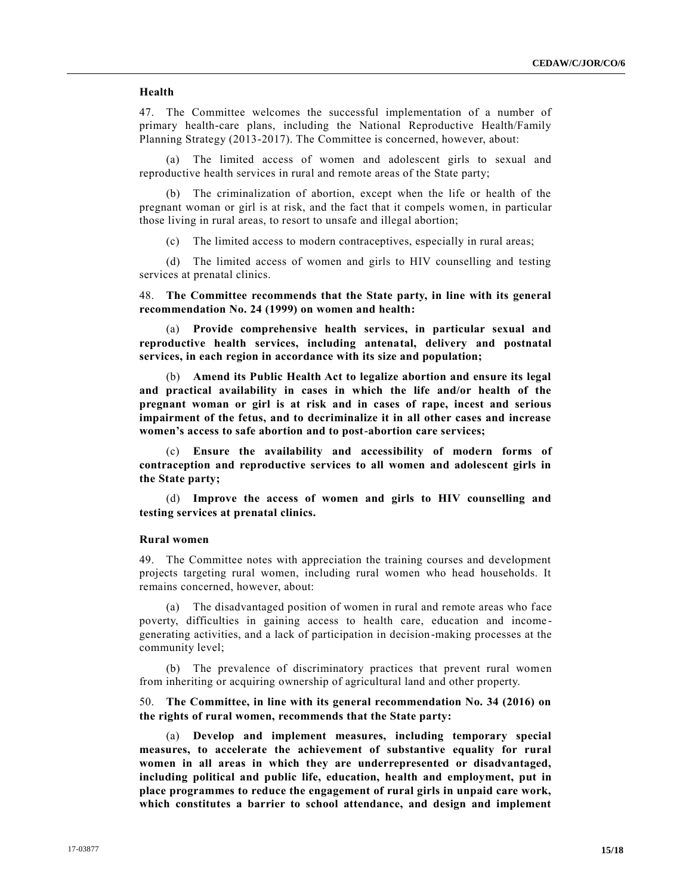# **Health**

47. The Committee welcomes the successful implementation of a number of primary health-care plans, including the National Reproductive Health/Family Planning Strategy (2013-2017). The Committee is concerned, however, about:

(a) The limited access of women and adolescent girls to sexual and reproductive health services in rural and remote areas of the State party;

(b) The criminalization of abortion, except when the life or health of the pregnant woman or girl is at risk, and the fact that it compels women, in particular those living in rural areas, to resort to unsafe and illegal abortion;

(c) The limited access to modern contraceptives, especially in rural areas;

(d) The limited access of women and girls to HIV counselling and testing services at prenatal clinics.

48. **The Committee recommends that the State party, in line with its general recommendation No. 24 (1999) on women and health:** 

(a) **Provide comprehensive health services, in particular sexual and reproductive health services, including antenatal, delivery and postnatal services, in each region in accordance with its size and population;** 

(b) **Amend its Public Health Act to legalize abortion and ensure its legal and practical availability in cases in which the life and/or health of the pregnant woman or girl is at risk and in cases of rape, incest and serious impairment of the fetus, and to decriminalize it in all other cases and increase women's access to safe abortion and to post-abortion care services;**

(c) **Ensure the availability and accessibility of modern forms of contraception and reproductive services to all women and adolescent girls in the State party;**

(d) **Improve the access of women and girls to HIV counselling and testing services at prenatal clinics.** 

#### **Rural women**

49. The Committee notes with appreciation the training courses and development projects targeting rural women, including rural women who head households. It remains concerned, however, about:

(a) The disadvantaged position of women in rural and remote areas who face poverty, difficulties in gaining access to health care, education and income generating activities, and a lack of participation in decision-making processes at the community level;

(b) The prevalence of discriminatory practices that prevent rural women from inheriting or acquiring ownership of agricultural land and other property.

50. **The Committee, in line with its general recommendation No. 34 (2016) on the rights of rural women, recommends that the State party:** 

(a) **Develop and implement measures, including temporary special measures, to accelerate the achievement of substantive equality for rural women in all areas in which they are underrepresented or disadvantaged, including political and public life, education, health and employment, put in place programmes to reduce the engagement of rural girls in unpaid care work, which constitutes a barrier to school attendance, and design and implement**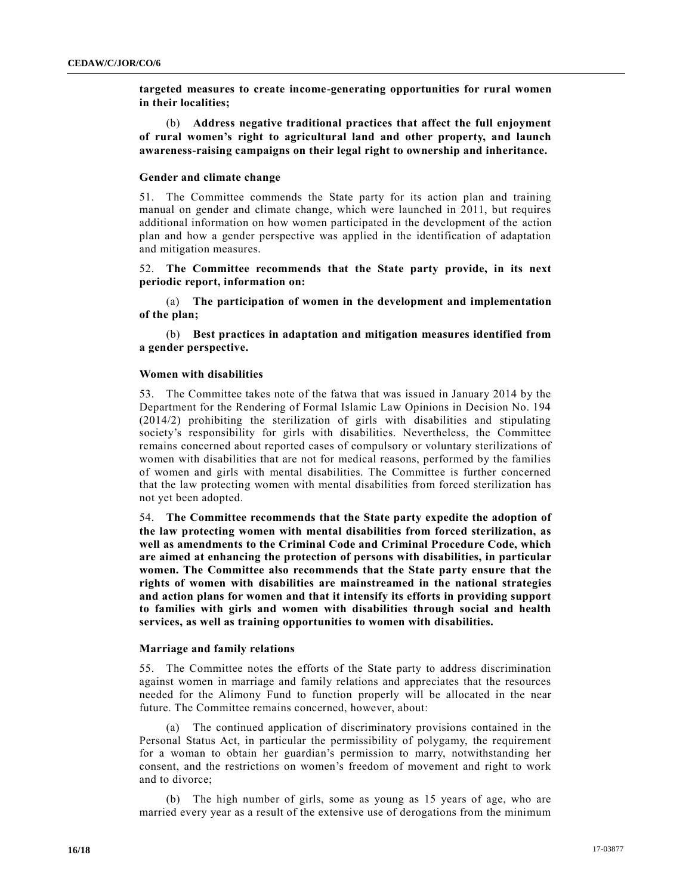**targeted measures to create income-generating opportunities for rural women in their localities;**

(b) **Address negative traditional practices that affect the full enjoyment of rural women's right to agricultural land and other property, and launch awareness-raising campaigns on their legal right to ownership and inheritance.** 

#### **Gender and climate change**

51. The Committee commends the State party for its action plan and training manual on gender and climate change, which were launched in 2011, but requires additional information on how women participated in the development of the action plan and how a gender perspective was applied in the identification of adaptation and mitigation measures.

52. **The Committee recommends that the State party provide, in its next periodic report, information on:** 

(a) **The participation of women in the development and implementation of the plan;**

(b) **Best practices in adaptation and mitigation measures identified from a gender perspective.** 

#### **Women with disabilities**

53. The Committee takes note of the fatwa that was issued in January 2014 by the Department for the Rendering of Formal Islamic Law Opinions in Decision No. 194 (2014/2) prohibiting the sterilization of girls with disabilities and stipulating society's responsibility for girls with disabilities. Nevertheless, the Committee remains concerned about reported cases of compulsory or voluntary sterilizations of women with disabilities that are not for medical reasons, performed by the families of women and girls with mental disabilities. The Committee is further concerned that the law protecting women with mental disabilities from forced sterilization has not yet been adopted.

54. **The Committee recommends that the State party expedite the adoption of the law protecting women with mental disabilities from forced sterilization, as well as amendments to the Criminal Code and Criminal Procedure Code, which are aimed at enhancing the protection of persons with disabilities, in particular women. The Committee also recommends that the State party ensure that the rights of women with disabilities are mainstreamed in the national strategies and action plans for women and that it intensify its efforts in providing support to families with girls and women with disabilities through social and health services, as well as training opportunities to women with disabilities.** 

#### **Marriage and family relations**

55. The Committee notes the efforts of the State party to address discrimination against women in marriage and family relations and appreciates that the resources needed for the Alimony Fund to function properly will be allocated in the near future. The Committee remains concerned, however, about:

(a) The continued application of discriminatory provisions contained in the Personal Status Act, in particular the permissibility of polygamy, the requirement for a woman to obtain her guardian's permission to marry, notwithstanding her consent, and the restrictions on women's freedom of movement and right to work and to divorce;

(b) The high number of girls, some as young as 15 years of age, who are married every year as a result of the extensive use of derogations from the minimum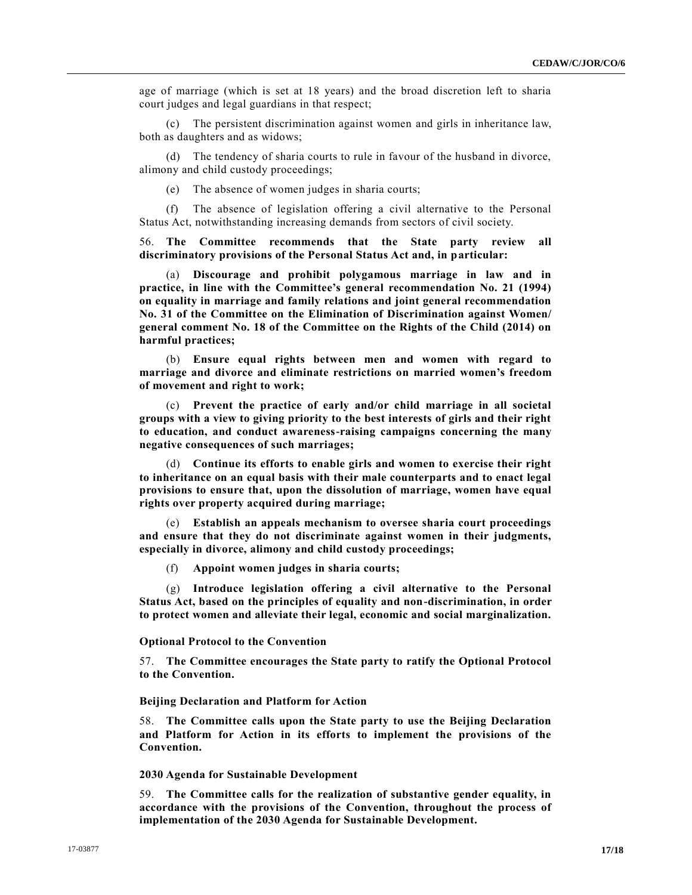age of marriage (which is set at 18 years) and the broad discretion left to sharia court judges and legal guardians in that respect;

(c) The persistent discrimination against women and girls in inheritance law, both as daughters and as widows;

(d) The tendency of sharia courts to rule in favour of the husband in divorce, alimony and child custody proceedings;

(e) The absence of women judges in sharia courts;

(f) The absence of legislation offering a civil alternative to the Personal Status Act, notwithstanding increasing demands from sectors of civil society.

56. **The Committee recommends that the State party review all discriminatory provisions of the Personal Status Act and, in particular:** 

(a) **Discourage and prohibit polygamous marriage in law and in practice, in line with the Committee's general recommendation No. 21 (1994) on equality in marriage and family relations and joint general recommendation No. 31 of the Committee on the Elimination of Discrimination against Women/ general comment No. 18 of the Committee on the Rights of the Child (2014) on harmful practices;**

(b) **Ensure equal rights between men and women with regard to marriage and divorce and eliminate restrictions on married women's freedom of movement and right to work;** 

(c) **Prevent the practice of early and/or child marriage in all societal groups with a view to giving priority to the best interests of girls and their right to education, and conduct awareness-raising campaigns concerning the many negative consequences of such marriages;**

(d) **Continue its efforts to enable girls and women to exercise their right to inheritance on an equal basis with their male counterparts and to enact legal provisions to ensure that, upon the dissolution of marriage, women have equal rights over property acquired during marriage;**

(e) **Establish an appeals mechanism to oversee sharia court proceedings and ensure that they do not discriminate against women in their judgments, especially in divorce, alimony and child custody proceedings;**

(f) **Appoint women judges in sharia courts;**

(g) **Introduce legislation offering a civil alternative to the Personal Status Act, based on the principles of equality and non-discrimination, in order to protect women and alleviate their legal, economic and social marginalization.** 

#### **Optional Protocol to the Convention**

57. **The Committee encourages the State party to ratify the Optional Protocol to the Convention.** 

### **Beijing Declaration and Platform for Action**

58. **The Committee calls upon the State party to use the Beijing Declaration and Platform for Action in its efforts to implement the provisions of the Convention.** 

#### **2030 Agenda for Sustainable Development**

59. **The Committee calls for the realization of substantive gender equality, in accordance with the provisions of the Convention, throughout the process of implementation of the 2030 Agenda for Sustainable Development.**